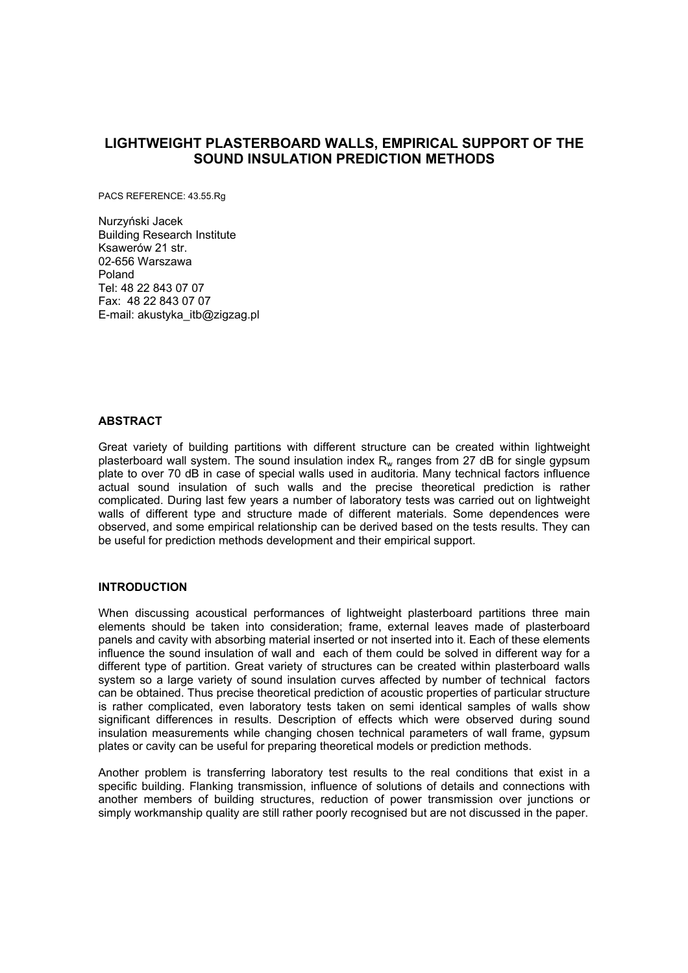# **LIGHTWEIGHT PLASTERBOARD WALLS, EMPIRICAL SUPPORT OF THE SOUND INSULATION PREDICTION METHODS**

PACS REFERENCE: 43.55.Rg

Nurzyński Jacek Building Research Institute Ksawerów 21 str. 02-656 Warszawa Poland Tel: 48 22 843 07 07 Fax: 48 22 843 07 07 E-mail: akustyka\_itb@zigzag.pl

### **ABSTRACT**

Great variety of building partitions with different structure can be created within lightweight plasterboard wall system. The sound insulation index  $R<sub>w</sub>$  ranges from 27 dB for single gypsum plate to over 70 dB in case of special walls used in auditoria. Many technical factors influence actual sound insulation of such walls and the precise theoretical prediction is rather complicated. During last few years a number of laboratory tests was carried out on lightweight walls of different type and structure made of different materials. Some dependences were observed, and some empirical relationship can be derived based on the tests results. They can be useful for prediction methods development and their empirical support.

### **INTRODUCTION**

When discussing acoustical performances of lightweight plasterboard partitions three main elements should be taken into consideration; frame, external leaves made of plasterboard panels and cavity with absorbing material inserted or not inserted into it. Each of these elements influence the sound insulation of wall and each of them could be solved in different way for a different type of partition. Great variety of structures can be created within plasterboard walls system so a large variety of sound insulation curves affected by number of technical factors can be obtained. Thus precise theoretical prediction of acoustic properties of particular structure is rather complicated, even laboratory tests taken on semi identical samples of walls show significant differences in results. Description of effects which were observed during sound insulation measurements while changing chosen technical parameters of wall frame, gypsum plates or cavity can be useful for preparing theoretical models or prediction methods.

Another problem is transferring laboratory test results to the real conditions that exist in a specific building. Flanking transmission, influence of solutions of details and connections with another members of building structures, reduction of power transmission over junctions or simply workmanship quality are still rather poorly recognised but are not discussed in the paper.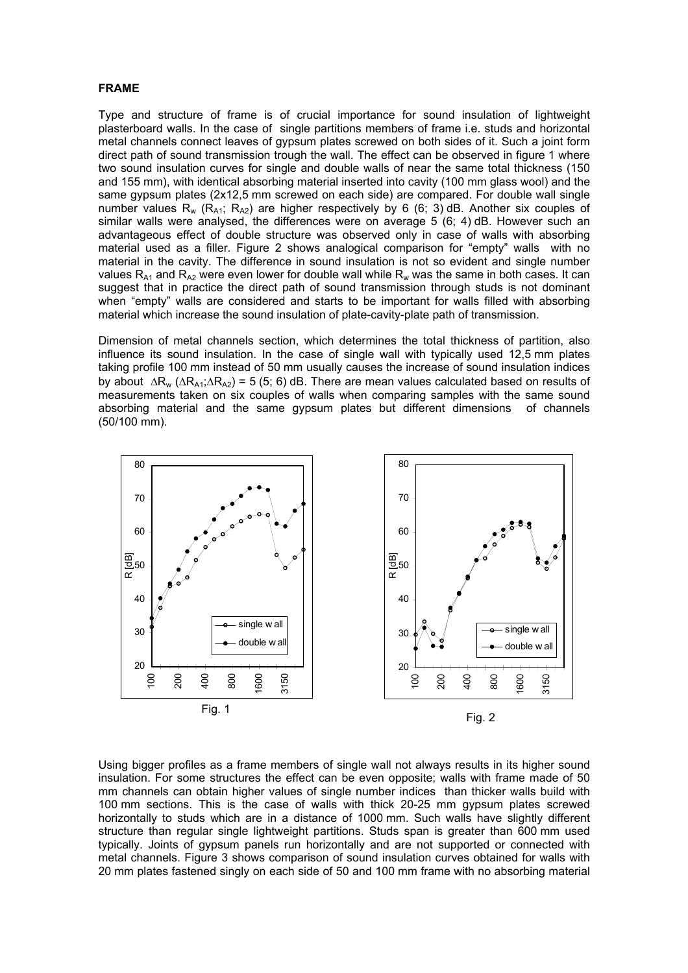#### **FRAME**

Type and structure of frame is of crucial importance for sound insulation of lightweight plasterboard walls. In the case of single partitions members of frame i.e. studs and horizontal metal channels connect leaves of gypsum plates screwed on both sides of it. Such a joint form direct path of sound transmission trough the wall. The effect can be observed in figure 1 where two sound insulation curves for single and double walls of near the same total thickness (150 and 155 mm), with identical absorbing material inserted into cavity (100 mm glass wool) and the same gypsum plates (2x12,5 mm screwed on each side) are compared. For double wall single number values R<sub>w</sub> (R<sub>A1</sub>; R<sub>A2</sub>) are higher respectively by 6 (6; 3) dB. Another six couples of similar walls were analysed, the differences were on average 5 (6; 4) dB. However such an advantageous effect of double structure was observed only in case of walls with absorbing material used as a filler. Figure 2 shows analogical comparison for "empty" walls with no material in the cavity. The difference in sound insulation is not so evident and single number values R<sub>A1</sub> and R<sub>A2</sub> were even lower for double wall while R<sub>w</sub> was the same in both cases. It can suggest that in practice the direct path of sound transmission through studs is not dominant when "empty" walls are considered and starts to be important for walls filled with absorbing material which increase the sound insulation of plate-cavity-plate path of transmission.

Dimension of metal channels section, which determines the total thickness of partition, also influence its sound insulation. In the case of single wall with typically used 12,5 mm plates taking profile 100 mm instead of 50 mm usually causes the increase of sound insulation indices by about  $\Delta R_w (\Delta R_{A1} : \Delta R_{A2}) = 5 (5, 6)$  dB. There are mean values calculated based on results of measurements taken on six couples of walls when comparing samples with the same sound absorbing material and the same gypsum plates but different dimensions of channels (50/100 mm).



Using bigger profiles as a frame members of single wall not always results in its higher sound insulation. For some structures the effect can be even opposite; walls with frame made of 50 mm channels can obtain higher values of single number indices than thicker walls build with 100 mm sections. This is the case of walls with thick 20-25 mm gypsum plates screwed horizontally to studs which are in a distance of 1000 mm. Such walls have slightly different structure than regular single lightweight partitions. Studs span is greater than 600 mm used typically. Joints of gypsum panels run horizontally and are not supported or connected with metal channels. Figure 3 shows comparison of sound insulation curves obtained for walls with 20 mm plates fastened singly on each side of 50 and 100 mm frame with no absorbing material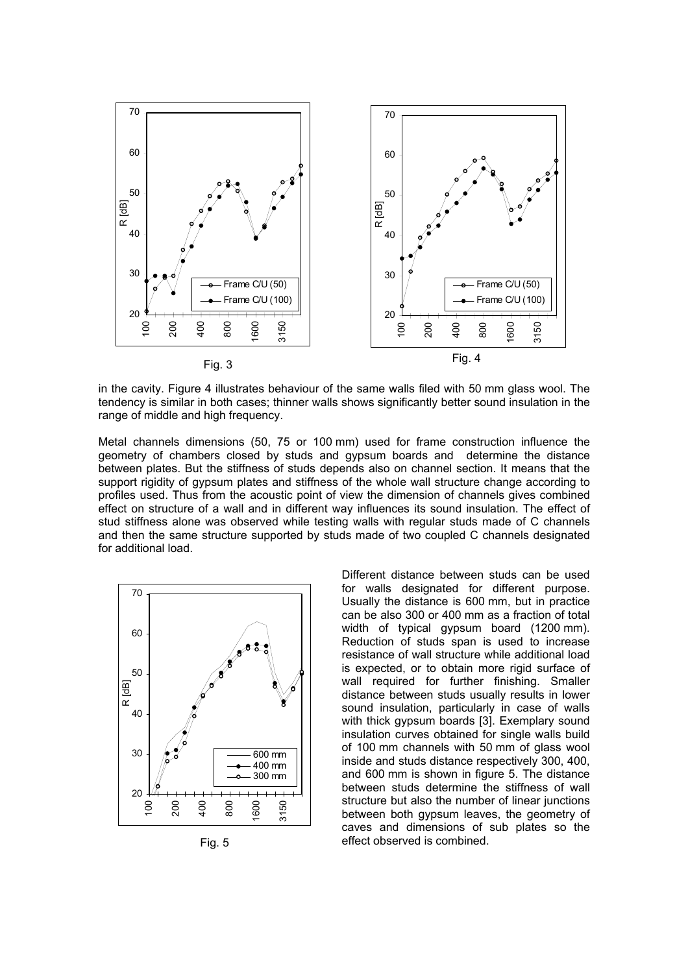

in the cavity. Figure 4 illustrates behaviour of the same walls filed with 50 mm glass wool. The tendency is similar in both cases; thinner walls shows significantly better sound insulation in the range of middle and high frequency.

Metal channels dimensions (50, 75 or 100 mm) used for frame construction influence the geometry of chambers closed by studs and gypsum boards and determine the distance between plates. But the stiffness of studs depends also on channel section. It means that the support rigidity of gypsum plates and stiffness of the whole wall structure change according to profiles used. Thus from the acoustic point of view the dimension of channels gives combined effect on structure of a wall and in different way influences its sound insulation. The effect of stud stiffness alone was observed while testing walls with regular studs made of C channels and then the same structure supported by studs made of two coupled C channels designated for additional load.



Fig. 5

Different distance between studs can be used for walls designated for different purpose. Usually the distance is 600 mm, but in practice can be also 300 or 400 mm as a fraction of total width of typical gypsum board (1200 mm). Reduction of studs span is used to increase resistance of wall structure while additional load is expected, or to obtain more rigid surface of wall required for further finishing. Smaller distance between studs usually results in lower sound insulation, particularly in case of walls with thick gypsum boards [3]. Exemplary sound insulation curves obtained for single walls build of 100 mm channels with 50 mm of glass wool inside and studs distance respectively 300, 400, and 600 mm is shown in figure 5. The distance between studs determine the stiffness of wall structure but also the number of linear junctions between both gypsum leaves, the geometry of caves and dimensions of sub plates so the effect observed is combined.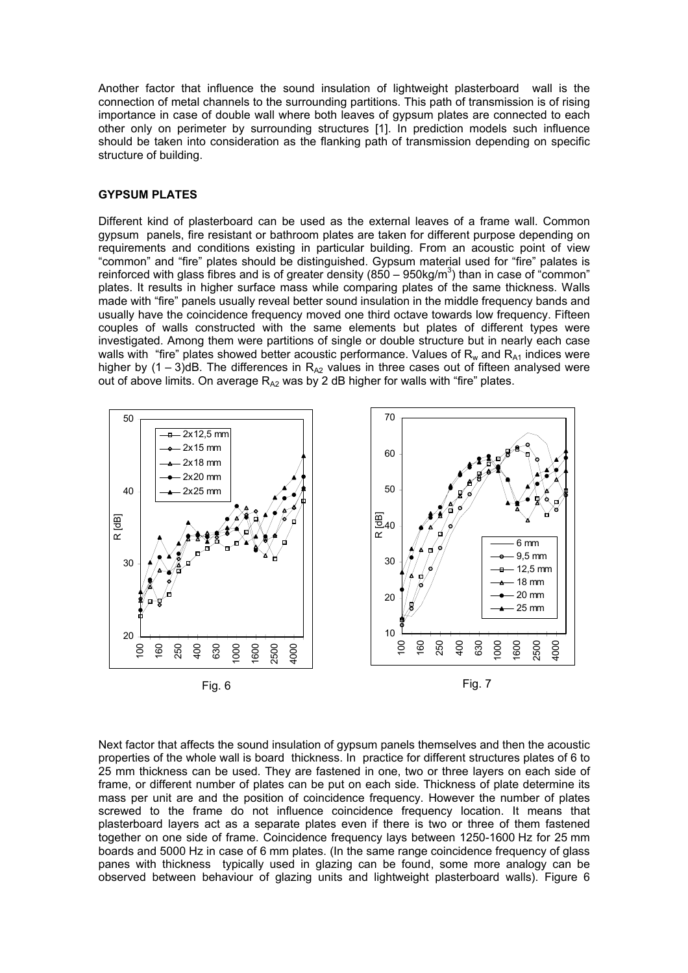Another factor that influence the sound insulation of lightweight plasterboard wall is the connection of metal channels to the surrounding partitions. This path of transmission is of rising importance in case of double wall where both leaves of gypsum plates are connected to each other only on perimeter by surrounding structures [1]. In prediction models such influence should be taken into consideration as the flanking path of transmission depending on specific structure of building.

#### **GYPSUM PLATES**

Different kind of plasterboard can be used as the external leaves of a frame wall. Common gypsum panels, fire resistant or bathroom plates are taken for different purpose depending on requirements and conditions existing in particular building. From an acoustic point of view "common" and "fire" plates should be distinguished. Gypsum material used for "fire" palates is reinforced with glass fibres and is of greater density (850 – 950kg/m<sup>3</sup>) than in case of "common" plates. It results in higher surface mass while comparing plates of the same thickness. Walls made with "fire" panels usually reveal better sound insulation in the middle frequency bands and usually have the coincidence frequency moved one third octave towards low frequency. Fifteen couples of walls constructed with the same elements but plates of different types were investigated. Among them were partitions of single or double structure but in nearly each case walls with "fire" plates showed better acoustic performance. Values of  $R_w$  and  $R_{A1}$  indices were higher by  $(1 – 3)$ dB. The differences in R<sub>A2</sub> values in three cases out of fifteen analysed were out of above limits. On average  $R_{A2}$  was by 2 dB higher for walls with "fire" plates.



Next factor that affects the sound insulation of gypsum panels themselves and then the acoustic properties of the whole wall is board thickness. In practice for different structures plates of 6 to 25 mm thickness can be used. They are fastened in one, two or three layers on each side of frame, or different number of plates can be put on each side. Thickness of plate determine its mass per unit are and the position of coincidence frequency. However the number of plates screwed to the frame do not influence coincidence frequency location. It means that plasterboard layers act as a separate plates even if there is two or three of them fastened together on one side of frame. Coincidence frequency lays between 1250-1600 Hz for 25 mm boards and 5000 Hz in case of 6 mm plates. (In the same range coincidence frequency of glass panes with thickness typically used in glazing can be found, some more analogy can be observed between behaviour of glazing units and lightweight plasterboard walls). Figure 6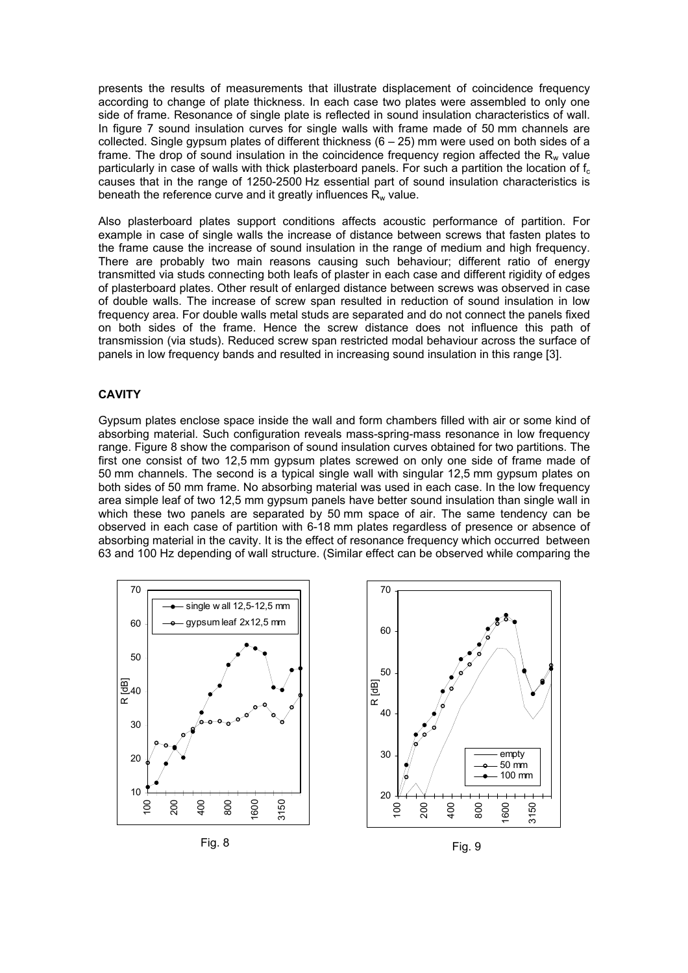presents the results of measurements that illustrate displacement of coincidence frequency according to change of plate thickness. In each case two plates were assembled to only one side of frame. Resonance of single plate is reflected in sound insulation characteristics of wall. In figure 7 sound insulation curves for single walls with frame made of 50 mm channels are collected. Single gypsum plates of different thickness  $(6 - 25)$  mm were used on both sides of a frame. The drop of sound insulation in the coincidence frequency region affected the  $R_w$  value particularly in case of walls with thick plasterboard panels. For such a partition the location of  $f_c$ causes that in the range of 1250-2500 Hz essential part of sound insulation characteristics is beneath the reference curve and it greatly influences  $R_w$  value.

Also plasterboard plates support conditions affects acoustic performance of partition. For example in case of single walls the increase of distance between screws that fasten plates to the frame cause the increase of sound insulation in the range of medium and high frequency. There are probably two main reasons causing such behaviour; different ratio of energy transmitted via studs connecting both leafs of plaster in each case and different rigidity of edges of plasterboard plates. Other result of enlarged distance between screws was observed in case of double walls. The increase of screw span resulted in reduction of sound insulation in low frequency area. For double walls metal studs are separated and do not connect the panels fixed on both sides of the frame. Hence the screw distance does not influence this path of transmission (via studs). Reduced screw span restricted modal behaviour across the surface of panels in low frequency bands and resulted in increasing sound insulation in this range [3].

### **CAVITY**

Gypsum plates enclose space inside the wall and form chambers filled with air or some kind of absorbing material. Such configuration reveals mass-spring-mass resonance in low frequency range. Figure 8 show the comparison of sound insulation curves obtained for two partitions. The first one consist of two 12,5 mm gypsum plates screwed on only one side of frame made of 50 mm channels. The second is a typical single wall with singular 12,5 mm gypsum plates on both sides of 50 mm frame. No absorbing material was used in each case. In the low frequency area simple leaf of two 12,5 mm gypsum panels have better sound insulation than single wall in which these two panels are separated by 50 mm space of air. The same tendency can be observed in each case of partition with 6-18 mm plates regardless of presence or absence of absorbing material in the cavity. It is the effect of resonance frequency which occurred between 63 and 100 Hz depending of wall structure. (Similar effect can be observed while comparing the







Fig. 9